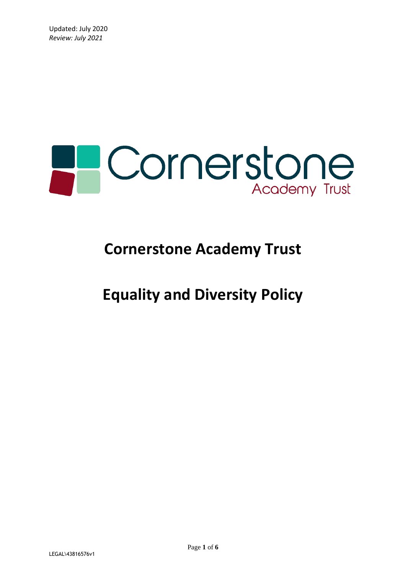

# **Cornerstone Academy Trust**

# **Equality and Diversity Policy**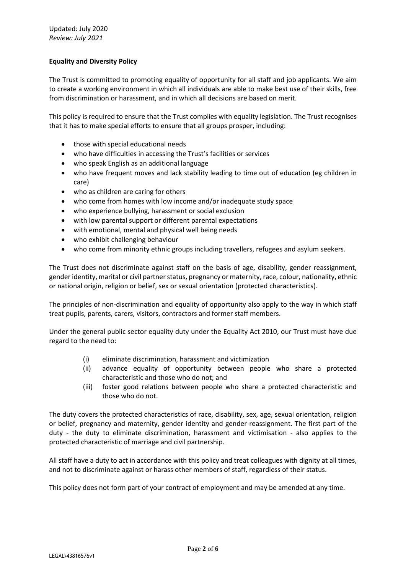## **Equality and Diversity Policy**

The Trust is committed to promoting equality of opportunity for all staff and job applicants. We aim to create a working environment in which all individuals are able to make best use of their skills, free from discrimination or harassment, and in which all decisions are based on merit.

This policy is required to ensure that the Trust complies with equality legislation. The Trust recognises that it has to make special efforts to ensure that all groups prosper, including:

- those with special educational needs
- who have difficulties in accessing the Trust's facilities or services
- who speak English as an additional language
- who have frequent moves and lack stability leading to time out of education (eg children in care)
- who as children are caring for others
- who come from homes with low income and/or inadequate study space
- who experience bullying, harassment or social exclusion
- with low parental support or different parental expectations
- with emotional, mental and physical well being needs
- who exhibit challenging behaviour
- who come from minority ethnic groups including travellers, refugees and asylum seekers.

The Trust does not discriminate against staff on the basis of age, disability, gender reassignment, gender identity, marital or civil partner status, pregnancy or maternity, race, colour, nationality, ethnic or national origin, religion or belief, sex or sexual orientation (protected characteristics).

The principles of non-discrimination and equality of opportunity also apply to the way in which staff treat pupils, parents, carers, visitors, contractors and former staff members.

Under the general public sector equality duty under the Equality Act 2010, our Trust must have due regard to the need to:

- (i) eliminate discrimination, harassment and victimization
- (ii) advance equality of opportunity between people who share a protected characteristic and those who do not; and
- (iii) foster good relations between people who share a protected characteristic and those who do not.

The duty covers the protected characteristics of race, disability, sex, age, sexual orientation, religion or belief, pregnancy and maternity, gender identity and gender reassignment. The first part of the duty - the duty to eliminate discrimination, harassment and victimisation - also applies to the protected characteristic of marriage and civil partnership.

All staff have a duty to act in accordance with this policy and treat colleagues with dignity at all times, and not to discriminate against or harass other members of staff, regardless of their status.

This policy does not form part of your contract of employment and may be amended at any time.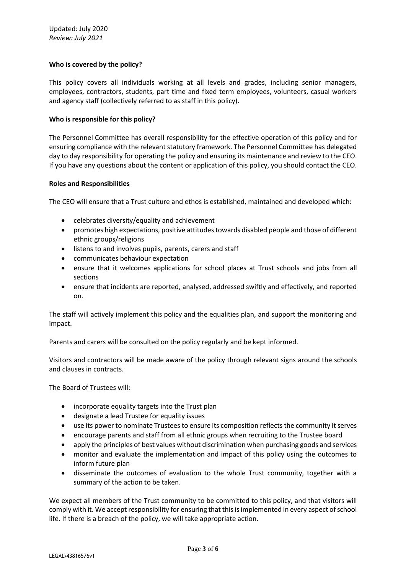### **Who is covered by the policy?**

This policy covers all individuals working at all levels and grades, including senior managers, employees, contractors, students, part time and fixed term employees, volunteers, casual workers and agency staff (collectively referred to as staff in this policy).

#### **Who is responsible for this policy?**

The Personnel Committee has overall responsibility for the effective operation of this policy and for ensuring compliance with the relevant statutory framework. The Personnel Committee has delegated day to day responsibility for operating the policy and ensuring its maintenance and review to the CEO. If you have any questions about the content or application of this policy, you should contact the CEO.

#### **Roles and Responsibilities**

The CEO will ensure that a Trust culture and ethos is established, maintained and developed which:

- celebrates diversity/equality and achievement
- promotes high expectations, positive attitudes towards disabled people and those of different ethnic groups/religions
- listens to and involves pupils, parents, carers and staff
- communicates behaviour expectation
- ensure that it welcomes applications for school places at Trust schools and jobs from all sections
- ensure that incidents are reported, analysed, addressed swiftly and effectively, and reported on.

The staff will actively implement this policy and the equalities plan, and support the monitoring and impact.

Parents and carers will be consulted on the policy regularly and be kept informed.

Visitors and contractors will be made aware of the policy through relevant signs around the schools and clauses in contracts.

The Board of Trustees will:

- incorporate equality targets into the Trust plan
- designate a lead Trustee for equality issues
- use its power to nominate Trustees to ensure its composition reflects the community it serves
- encourage parents and staff from all ethnic groups when recruiting to the Trustee board
- apply the principles of best values without discrimination when purchasing goods and services
- monitor and evaluate the implementation and impact of this policy using the outcomes to inform future plan
- disseminate the outcomes of evaluation to the whole Trust community, together with a summary of the action to be taken.

We expect all members of the Trust community to be committed to this policy, and that visitors will comply with it. We accept responsibility for ensuring that this is implemented in every aspect of school life. If there is a breach of the policy, we will take appropriate action.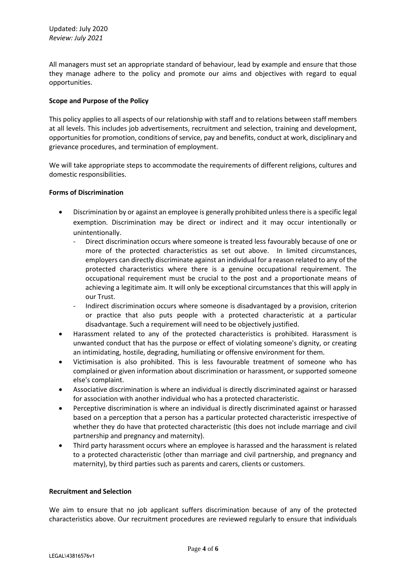All managers must set an appropriate standard of behaviour, lead by example and ensure that those they manage adhere to the policy and promote our aims and objectives with regard to equal opportunities.

### **Scope and Purpose of the Policy**

This policy applies to all aspects of our relationship with staff and to relations between staff members at all levels. This includes job advertisements, recruitment and selection, training and development, opportunities for promotion, conditions of service, pay and benefits, conduct at work, disciplinary and grievance procedures, and termination of employment.

We will take appropriate steps to accommodate the requirements of different religions, cultures and domestic responsibilities.

### **Forms of Discrimination**

- Discrimination by or against an employee is generally prohibited unless there is a specific legal exemption. Discrimination may be direct or indirect and it may occur intentionally or unintentionally.
	- Direct discrimination occurs where someone is treated less favourably because of one or more of the protected characteristics as set out above. In limited circumstances, employers can directly discriminate against an individual for a reason related to any of the protected characteristics where there is a genuine occupational requirement. The occupational requirement must be crucial to the post and a proportionate means of achieving a legitimate aim. It will only be exceptional circumstances that this will apply in our Trust.
	- Indirect discrimination occurs where someone is disadvantaged by a provision, criterion or practice that also puts people with a protected characteristic at a particular disadvantage. Such a requirement will need to be objectively justified.
- Harassment related to any of the protected characteristics is prohibited. Harassment is unwanted conduct that has the purpose or effect of violating someone's dignity, or creating an intimidating, hostile, degrading, humiliating or offensive environment for them.
- Victimisation is also prohibited. This is less favourable treatment of someone who has complained or given information about discrimination or harassment, or supported someone else's complaint.
- Associative discrimination is where an individual is directly discriminated against or harassed for association with another individual who has a protected characteristic.
- Perceptive discrimination is where an individual is directly discriminated against or harassed based on a perception that a person has a particular protected characteristic irrespective of whether they do have that protected characteristic (this does not include marriage and civil partnership and pregnancy and maternity).
- Third party harassment occurs where an employee is harassed and the harassment is related to a protected characteristic (other than marriage and civil partnership, and pregnancy and maternity), by third parties such as parents and carers, clients or customers.

# **Recruitment and Selection**

We aim to ensure that no job applicant suffers discrimination because of any of the protected characteristics above. Our recruitment procedures are reviewed regularly to ensure that individuals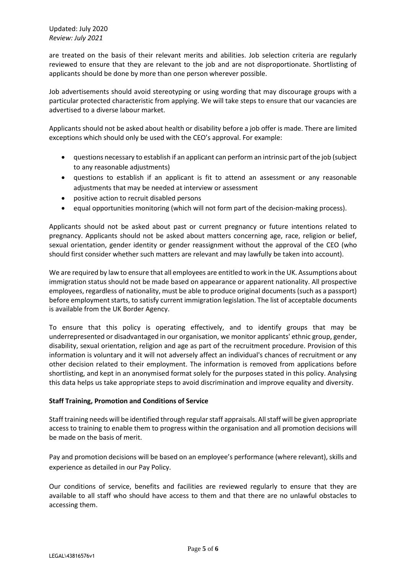Updated: July 2020 *Review: July 2021* 

are treated on the basis of their relevant merits and abilities. Job selection criteria are regularly reviewed to ensure that they are relevant to the job and are not disproportionate. Shortlisting of applicants should be done by more than one person wherever possible.

Job advertisements should avoid stereotyping or using wording that may discourage groups with a particular protected characteristic from applying. We will take steps to ensure that our vacancies are advertised to a diverse labour market.

Applicants should not be asked about health or disability before a job offer is made. There are limited exceptions which should only be used with the CEO's approval. For example:

- questions necessary to establish if an applicant can perform an intrinsic part of the job (subject to any reasonable adjustments)
- questions to establish if an applicant is fit to attend an assessment or any reasonable adjustments that may be needed at interview or assessment
- positive action to recruit disabled persons
- equal opportunities monitoring (which will not form part of the decision-making process).

Applicants should not be asked about past or current pregnancy or future intentions related to pregnancy. Applicants should not be asked about matters concerning age, race, religion or belief, sexual orientation, gender identity or gender reassignment without the approval of the CEO (who should first consider whether such matters are relevant and may lawfully be taken into account).

We are required by law to ensure that all employees are entitled to work in the UK. Assumptions about immigration status should not be made based on appearance or apparent nationality. All prospective employees, regardless of nationality, must be able to produce original documents (such as a passport) before employment starts, to satisfy current immigration legislation. The list of acceptable documents is available from the UK Border Agency.

To ensure that this policy is operating effectively, and to identify groups that may be underrepresented or disadvantaged in our organisation, we monitor applicants' ethnic group, gender, disability, sexual orientation, religion and age as part of the recruitment procedure. Provision of this information is voluntary and it will not adversely affect an individual's chances of recruitment or any other decision related to their employment. The information is removed from applications before shortlisting, and kept in an anonymised format solely for the purposes stated in this policy. Analysing this data helps us take appropriate steps to avoid discrimination and improve equality and diversity.

### **Staff Training, Promotion and Conditions of Service**

Staff training needs will be identified through regular staff appraisals. All staff will be given appropriate access to training to enable them to progress within the organisation and all promotion decisions will be made on the basis of merit.

Pay and promotion decisions will be based on an employee's performance (where relevant), skills and experience as detailed in our Pay Policy.

Our conditions of service, benefits and facilities are reviewed regularly to ensure that they are available to all staff who should have access to them and that there are no unlawful obstacles to accessing them.